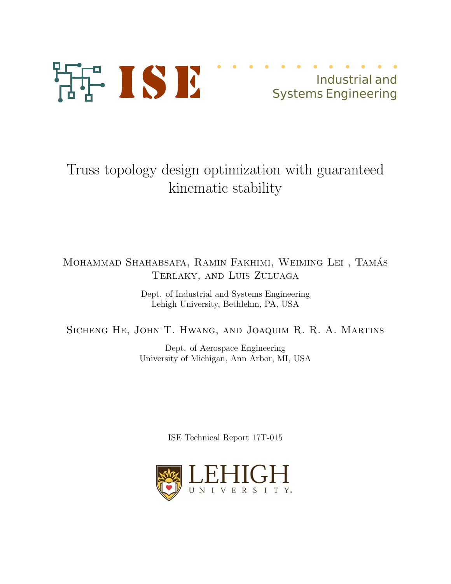

# Truss topology design optimization with guaranteed kinematic stability

## MOHAMMAD SHAHABSAFA, RAMIN FAKHIMI, WEIMING LEI, TAMÁS Terlaky, and Luis Zuluaga

Dept. of Industrial and Systems Engineering Lehigh University, Bethlehm, PA, USA

## Sicheng He, John T. Hwang, and Joaquim R. R. A. Martins

Dept. of Aerospace Engineering University of Michigan, Ann Arbor, MI, USA

ISE Technical Report 17T-015

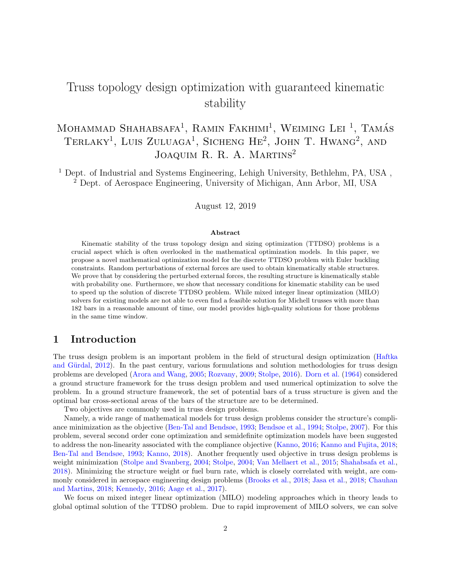## Truss topology design optimization with guaranteed kinematic stability

## Mohammad Shahabsafa<sup>1</sup>, Ramin Fakhimi<sup>1</sup>, Weiming Lei<sup>1</sup>, Tamás TERLAKY<sup>1</sup>, LUIS ZULUAGA<sup>1</sup>, SICHENG HE<sup>2</sup>, JOHN T. HWANG<sup>2</sup>, AND JOAQUIM R. R. A. MARTINS<sup>2</sup>

<sup>1</sup> Dept. of Industrial and Systems Engineering, Lehigh University, Bethlehm, PA, USA,  $^{2}$  Dept. of Aerospace Engineering, University of Michigan, Ann Arbor, MI, USA

August 12, 2019

#### Abstract

Kinematic stability of the truss topology design and sizing optimization (TTDSO) problems is a crucial aspect which is often overlooked in the mathematical optimization models. In this paper, we propose a novel mathematical optimization model for the discrete TTDSO problem with Euler buckling constraints. Random perturbations of external forces are used to obtain kinematically stable structures. We prove that by considering the perturbed external forces, the resulting structure is kinematically stable with probability one. Furthermore, we show that necessary conditions for kinematic stability can be used to speed up the solution of discrete TTDSO problem. While mixed integer linear optimization (MILO) solvers for existing models are not able to even find a feasible solution for Michell trusses with more than 182 bars in a reasonable amount of time, our model provides high-quality solutions for those problems in the same time window.

## 1 Introduction

The truss design problem is an important problem in the field of structural design optimization [\(Haftka](#page-16-0) and Gürdal, [2012\)](#page-16-0). In the past century, various formulations and solution methodologies for truss design problems are developed [\(Arora and Wang,](#page-16-1) [2005;](#page-16-1) [Rozvany,](#page-17-0) [2009;](#page-17-0) [Stolpe,](#page-17-1) [2016\)](#page-17-1). [Dorn et al.](#page-16-2) [\(1964\)](#page-16-2) considered a ground structure framework for the truss design problem and used numerical optimization to solve the problem. In a ground structure framework, the set of potential bars of a truss structure is given and the optimal bar cross-sectional areas of the bars of the structure are to be determined.

Two objectives are commonly used in truss design problems.

Namely, a wide range of mathematical models for truss design problems consider the structure's compliance minimization as the objective [\(Ben-Tal and Bendsøe,](#page-16-3) [1993;](#page-16-3) [Bendsøe et al.,](#page-16-4) [1994;](#page-16-4) [Stolpe,](#page-17-2) [2007\)](#page-17-2). For this problem, several second order cone optimization and semidefinite optimization models have been suggested to address the non-linearity associated with the compliance objective [\(Kanno,](#page-17-3) [2016;](#page-17-3) [Kanno and Fujita,](#page-17-4) [2018;](#page-17-4) [Ben-Tal and Bendsøe,](#page-16-3) [1993;](#page-16-3) [Kanno,](#page-17-5) [2018\)](#page-17-5). Another frequently used objective in truss design problems is weight minimization [\(Stolpe and Svanberg,](#page-17-6) [2004;](#page-17-6) [Stolpe,](#page-17-7) [2004;](#page-17-7) [Van Mellaert et al.,](#page-17-8) [2015;](#page-17-8) [Shahabsafa et al.,](#page-17-9) [2018\)](#page-17-9). Minimizing the structure weight or fuel burn rate, which is closely correlated with weight, are commonly considered in aerospace engineering design problems [\(Brooks et al.,](#page-16-5) [2018;](#page-16-5) [Jasa et al.,](#page-16-6) [2018;](#page-16-6) [Chauhan](#page-16-7) [and Martins,](#page-16-7) [2018;](#page-16-7) [Kennedy,](#page-17-10) [2016;](#page-17-10) [Aage et al.,](#page-16-8) [2017\)](#page-16-8).

We focus on mixed integer linear optimization (MILO) modeling approaches which in theory leads to global optimal solution of the TTDSO problem. Due to rapid improvement of MILO solvers, we can solve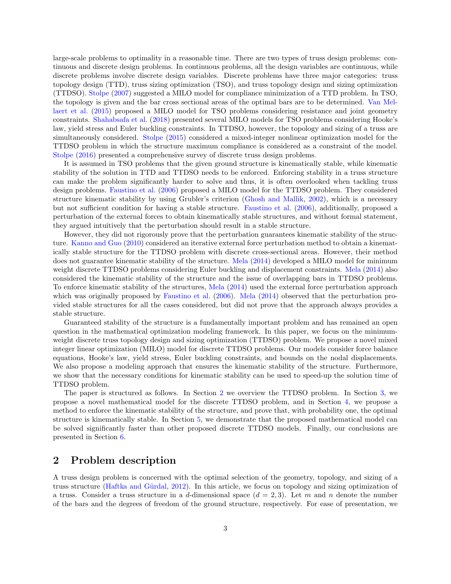large-scale problems to optimality in a reasonable time. There are two types of truss design problems: continuous and discrete design problems. In continuous problems, all the design variables are continuous, while discrete problems involve discrete design variables. Discrete problems have three major categories: truss topology design (TTD), truss sizing optimization (TSO), and truss topology design and sizing optimization (TTDSO). [Stolpe](#page-17-2) [\(2007\)](#page-17-2) suggested a MILO model for compliance minimization of a TTD problem. In TSO, the topology is given and the bar cross sectional areas of the optimal bars are to be determined. [Van Mel](#page-17-8)[laert et al.](#page-17-8) [\(2015\)](#page-17-8) proposed a MILO model for TSO problems considering resistance and joint geometry constraints. [Shahabsafa et al.](#page-17-9) [\(2018\)](#page-17-9) presented several MILO models for TSO problems considering Hooke's law, yield stress and Euler buckling constraints. In TTDSO, however, the topology and sizing of a truss are simultaneously considered. [Stolpe](#page-17-11) [\(2015\)](#page-17-11) considered a mixed-integer nonlinear optimization model for the TTDSO problem in which the structure maximum compliance is considered as a constraint of the model. [Stolpe](#page-17-1) [\(2016\)](#page-17-1) presented a comprehensive survey of discrete truss design problems.

It is assumed in TSO problems that the given ground structure is kinematically stable, while kinematic stability of the solution in TTD and TTDSO needs to be enforced. Enforcing stability in a truss structure can make the problem significantly harder to solve and thus, it is often overlooked when tackling truss design problems. [Faustino et al.](#page-16-9) [\(2006\)](#page-16-9) proposed a MILO model for the TTDSO problem. They considered structure kinematic stability by using Grubler's criterion [\(Ghosh and Mallik,](#page-16-10) [2002\)](#page-16-10), which is a necessary but not sufficient condition for having a stable structure. [Faustino et al.](#page-16-9) [\(2006\)](#page-16-9), additionally, proposed a perturbation of the external forces to obtain kinematically stable structures, and without formal statement, they argued intuitively that the perturbation should result in a stable structure.

However, they did not rigorously prove that the perturbation guarantees kinematic stability of the structure. [Kanno and Guo](#page-17-12) [\(2010\)](#page-17-12) considered an iterative external force perturbation method to obtain a kinematically stable structure for the TTDSO problem with discrete cross-sectional areas. However, their method does not guarantee kinematic stability of the structure. [Mela](#page-17-13) [\(2014\)](#page-17-13) developed a MILO model for minimum weight discrete TTDSO problems considering Euler buckling and displacement constraints. [Mela](#page-17-13) [\(2014\)](#page-17-13) also considered the kinematic stability of the structure and the issue of overlapping bars in TTDSO problems. To enforce kinematic stability of the structures, [Mela](#page-17-13) [\(2014\)](#page-17-13) used the external force perturbation approach which was originally proposed by [Faustino et al.](#page-16-9) [\(2006\)](#page-16-9). [Mela](#page-17-13) [\(2014\)](#page-17-13) observed that the perturbation provided stable structures for all the cases considered, but did not prove that the approach always provides a stable structure.

Guaranteed stability of the structure is a fundamentally important problem and has remained an open question in the mathematical optimization modeling framework. In this paper, we focus on the minimumweight discrete truss topology design and sizing optimization (TTDSO) problem. We propose a novel mixed integer linear optimization (MILO) model for discrete TTDSO problems. Our models consider force balance equations, Hooke's law, yield stress, Euler buckling constraints, and bounds on the nodal displacements. We also propose a modeling approach that ensures the kinematic stability of the structure. Furthermore, we show that the necessary conditions for kinematic stability can be used to speed-up the solution time of TTDSO problem.

The paper is structured as follows. In Section [2](#page-2-0) we overview the TTDSO problem. In Section [3,](#page-3-0) we propose a novel mathematical model for the discrete TTDSO problem, and in Section [4,](#page-6-0) we propose a method to enforce the kinematic stability of the structure, and prove that, with probability one, the optimal structure is kinematically stable. In Section [5,](#page-10-0) we demonstrate that the proposed mathematical model can be solved significantly faster than other proposed discrete TTDSO models. Finally, our conclusions are presented in Section [6.](#page-15-0)

## <span id="page-2-0"></span>2 Problem description

A truss design problem is concerned with the optimal selection of the geometry, topology, and sizing of a truss structure (Haftka and Gürdal, [2012\)](#page-16-0). In this article, we focus on topology and sizing optimization of a truss. Consider a truss structure in a d-dimensional space  $(d = 2, 3)$ . Let m and n denote the number of the bars and the degrees of freedom of the ground structure, respectively. For ease of presentation, we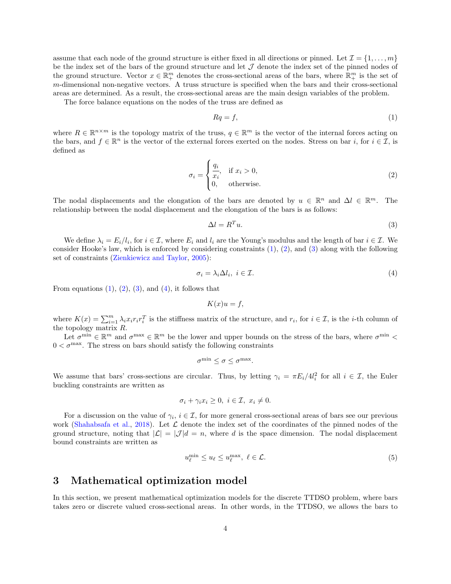assume that each node of the ground structure is either fixed in all directions or pinned. Let  $\mathcal{I} = \{1, \ldots, m\}$ be the index set of the bars of the ground structure and let  $\mathcal J$  denote the index set of the pinned nodes of the ground structure. Vector  $x \in \mathbb{R}^m_+$  denotes the cross-sectional areas of the bars, where  $\mathbb{R}^m_+$  is the set of m-dimensional non-negative vectors. A truss structure is specified when the bars and their cross-sectional areas are determined. As a result, the cross-sectional areas are the main design variables of the problem.

The force balance equations on the nodes of the truss are defined as

<span id="page-3-2"></span><span id="page-3-1"></span>
$$
Rq = f,\tag{1}
$$

where  $R \in \mathbb{R}^{n \times m}$  is the topology matrix of the truss,  $q \in \mathbb{R}^m$  is the vector of the internal forces acting on the bars, and  $f \in \mathbb{R}^n$  is the vector of the external forces exerted on the nodes. Stress on bar i, for  $i \in \mathcal{I}$ , is defined as

$$
\sigma_i = \begin{cases} \frac{q_i}{x_i}, & \text{if } x_i > 0, \\ 0, & \text{otherwise.} \end{cases}
$$
 (2)

The nodal displacements and the elongation of the bars are denoted by  $u \in \mathbb{R}^n$  and  $\Delta l \in \mathbb{R}^m$ . The relationship between the nodal displacement and the elongation of the bars is as follows:

<span id="page-3-3"></span>
$$
\Delta l = R^T u. \tag{3}
$$

We define  $\lambda_i = E_i / l_i$ , for  $i \in \mathcal{I}$ , where  $E_i$  and  $l_i$  are the Young's modulus and the length of bar  $i \in \mathcal{I}$ . We consider Hooke's law, which is enforced by considering constraints [\(1\)](#page-3-1), [\(2\)](#page-3-2), and [\(3\)](#page-3-3) along with the following set of constraints [\(Zienkiewicz and Taylor,](#page-17-14) [2005\)](#page-17-14):

$$
\sigma_i = \lambda_i \Delta l_i, \ i \in \mathcal{I}.\tag{4}
$$

From equations  $(1)$ ,  $(2)$ ,  $(3)$ , and  $(4)$ , it follows that

<span id="page-3-4"></span>
$$
K(x)u = f,
$$

where  $K(x) = \sum_{i=1}^{m} \lambda_i x_i r_i r_i^T$  is the stiffness matrix of the structure, and  $r_i$ , for  $i \in \mathcal{I}$ , is the *i*-th column of the topology matrix R.

Let  $\sigma^{\min} \in \mathbb{R}^m$  and  $\sigma^{\max} \in \mathbb{R}^m$  be the lower and upper bounds on the stress of the bars, where  $\sigma^{\min}$  $0 < \sigma^{\text{max}}$ . The stress on bars should satisfy the following constraints

$$
\sigma^{\min} \leq \sigma \leq \sigma^{\max}.
$$

We assume that bars' cross-sections are circular. Thus, by letting  $\gamma_i = \pi E_i/4l_i^2$  for all  $i \in \mathcal{I}$ , the Euler buckling constraints are written as

$$
\sigma_i + \gamma_i x_i \ge 0, \ i \in \mathcal{I}, \ x_i \ne 0.
$$

For a discussion on the value of  $\gamma_i$ ,  $i \in \mathcal{I}$ , for more general cross-sectional areas of bars see our previous work [\(Shahabsafa et al.,](#page-17-9) [2018\)](#page-17-9). Let  $\mathcal L$  denote the index set of the coordinates of the pinned nodes of the ground structure, noting that  $|\mathcal{L}| = |\mathcal{J}|d = n$ , where d is the space dimension. The nodal displacement bound constraints are written as

<span id="page-3-5"></span>
$$
u_{\ell}^{\min} \le u_{\ell} \le u_{\ell}^{\max}, \ \ell \in \mathcal{L}.\tag{5}
$$

### <span id="page-3-0"></span>3 Mathematical optimization model

In this section, we present mathematical optimization models for the discrete TTDSO problem, where bars takes zero or discrete valued cross-sectional areas. In other words, in the TTDSO, we allows the bars to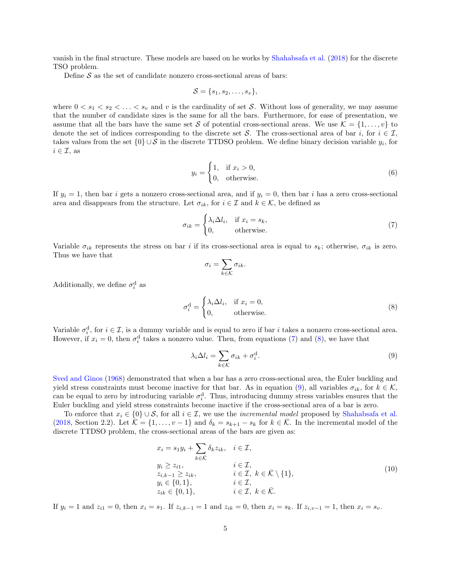vanish in the final structure. These models are based on he works by [Shahabsafa et al.](#page-17-9) [\(2018\)](#page-17-9) for the discrete TSO problem.

Define  $S$  as the set of candidate nonzero cross-sectional areas of bars:

$$
\mathcal{S} = \{s_1, s_2, \ldots, s_v\},\
$$

where  $0 < s_1 < s_2 < \ldots < s_v$  and v is the cardinality of set S. Without loss of generality, we may assume that the number of candidate sizes is the same for all the bars. Furthermore, for ease of presentation, we assume that all the bars have the same set S of potential cross-sectional areas. We use  $\mathcal{K} = \{1, \ldots, v\}$  to denote the set of indices corresponding to the discrete set S. The cross-sectional area of bar i, for  $i \in \mathcal{I}$ , takes values from the set  $\{0\} \cup S$  in the discrete TTDSO problem. We define binary decision variable  $y_i$ , for  $i \in \mathcal{I}$ , as

<span id="page-4-4"></span>
$$
y_i = \begin{cases} 1, & \text{if } x_i > 0, \\ 0, & \text{otherwise.} \end{cases}
$$
 (6)

If  $y_i = 1$ , then bar i gets a nonzero cross-sectional area, and if  $y_i = 0$ , then bar i has a zero cross-sectional area and disappears from the structure. Let  $\sigma_{ik}$ , for  $i \in \mathcal{I}$  and  $k \in \mathcal{K}$ , be defined as

$$
\sigma_{ik} = \begin{cases} \lambda_i \Delta l_i, & \text{if } x_i = s_k, \\ 0, & \text{otherwise.} \end{cases}
$$
\n(7)

Variable  $\sigma_{ik}$  represents the stress on bar i if its cross-sectional area is equal to  $s_k$ ; otherwise,  $\sigma_{ik}$  is zero. Thus we have that

<span id="page-4-1"></span><span id="page-4-0"></span>
$$
\sigma_i = \sum_{k \in \mathcal{K}} \sigma_{ik}.
$$

Additionally, we define  $\sigma_i^d$  as

$$
\sigma_i^{\rm d} = \begin{cases} \lambda_i \Delta l_i, & \text{if } x_i = 0, \\ 0, & \text{otherwise.} \end{cases}
$$
 (8)

Variable  $\sigma_i^d$ , for  $i \in \mathcal{I}$ , is a dummy variable and is equal to zero if bar i takes a nonzero cross-sectional area. However, if  $x_i = 0$ , then  $\sigma_i^d$  takes a nonzero value. Then, from equations [\(7\)](#page-4-0) and [\(8\)](#page-4-1), we have that

<span id="page-4-3"></span><span id="page-4-2"></span>
$$
\lambda_i \Delta l_i = \sum_{k \in \mathcal{K}} \sigma_{ik} + \sigma_i^{\mathrm{d}}.
$$
\n(9)

[Sved and Ginos](#page-17-15) [\(1968\)](#page-17-15) demonstrated that when a bar has a zero cross-sectional area, the Euler buckling and yield stress constraints must become inactive for that bar. As in equation [\(9\)](#page-4-2), all variables  $\sigma_{ik}$ , for  $k \in \mathcal{K}$ , can be equal to zero by introducing variable  $\sigma_i^d$ . Thus, introducing dummy stress variables ensures that the Euler buckling and yield stress constraints become inactive if the cross-sectional area of a bar is zero.

To enforce that  $x_i \in \{0\} \cup \mathcal{S}$ , for all  $i \in \mathcal{I}$ , we use the *incremental model* proposed by [Shahabsafa et al.](#page-17-9) [\(2018,](#page-17-9) Section 2.2). Let  $\overline{\mathcal{K}} = \{1, \ldots, v-1\}$  and  $\delta_k = s_{k+1} - s_k$  for  $k \in \overline{\mathcal{K}}$ . In the incremental model of the discrete TTDSO problem, the cross-sectional areas of the bars are given as:

$$
x_i = s_1 y_i + \sum_{k \in \overline{K}} \delta_k z_{ik}, \quad i \in \mathcal{I},
$$
  
\n
$$
y_i \ge z_{i1}, \quad i \in \mathcal{I},
$$
  
\n
$$
z_{i,k-1} \ge z_{ik}, \quad i \in \mathcal{I}, \quad k \in \overline{K} \setminus \{1\},
$$
  
\n
$$
y_i \in \{0, 1\}, \quad i \in \mathcal{I}, \quad k \in \overline{K}.
$$
  
\n(10)  
\n
$$
z_{ik} \in \{0, 1\}, \quad i \in \mathcal{I}, \quad k \in \overline{K}.
$$

If  $y_i = 1$  and  $z_{i1} = 0$ , then  $x_i = s_1$ . If  $z_{i,k-1} = 1$  and  $z_{ik} = 0$ , then  $x_i = s_k$ . If  $z_{i,v-1} = 1$ , then  $x_i = s_v$ .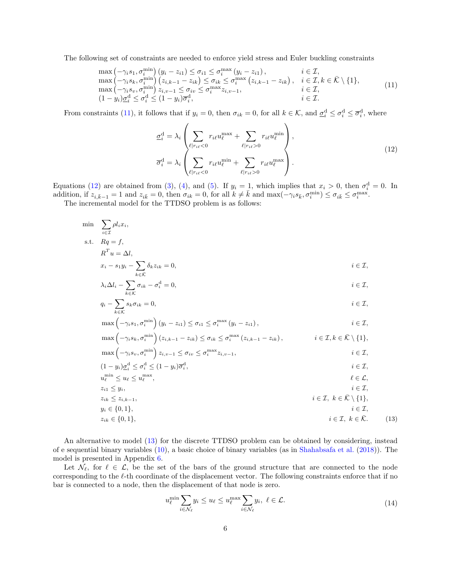The following set of constraints are needed to enforce yield stress and Euler buckling constraints

$$
\max\left(-\gamma_i s_1, \sigma_i^{\min}\right)(y_i - z_{i1}) \leq \sigma_{i1} \leq \sigma_i^{\max}\left(y_i - z_{i1}\right), \qquad i \in \mathcal{I},
$$
\n
$$
\max\left(-\gamma_i s_k, \sigma_i^{\min}\right)\left(z_{i,k-1} - z_{ik}\right) \leq \sigma_{ik} \leq \sigma_i^{\max}\left(z_{i,k-1} - z_{ik}\right), \quad i \in \mathcal{I}, k \in \bar{\mathcal{K}} \setminus \{1\},
$$
\n
$$
\max\left(-\gamma_i s_v, \sigma_i^{\min}\right) z_{i,v-1} \leq \sigma_{iv} \leq \sigma_i^{\max} z_{i,v-1}, \qquad i \in \mathcal{I},
$$
\n
$$
(1 - y_i)\underline{\sigma}_i^d \leq \sigma_i^d \leq (1 - y_i)\overline{\sigma}_i^d, \qquad i \in \mathcal{I}.
$$
\n
$$
(1)
$$

From constraints [\(11\)](#page-5-0), it follows that if  $y_i = 0$ , then  $\sigma_{ik} = 0$ , for all  $k \in \mathcal{K}$ , and  $\underline{\sigma}_i^{\rm d} \leq \sigma_i^{\rm d} \leq \overline{\sigma}_i^{\rm d}$ , where

<span id="page-5-1"></span><span id="page-5-0"></span>
$$
\underline{\sigma}_{i}^{\mathrm{d}} = \lambda_{i} \left( \sum_{\ell | r_{i\ell} < 0} r_{i\ell} u_{\ell}^{\max} + \sum_{\ell | r_{i\ell} > 0} r_{i\ell} u_{\ell}^{\min} \right),
$$
\n
$$
\overline{\sigma}_{i}^{\mathrm{d}} = \lambda_{i} \left( \sum_{\ell | r_{i\ell} < 0} r_{i\ell} u_{\ell}^{\min} + \sum_{\ell | r_{i\ell} > 0} r_{i\ell} u_{\ell}^{\max} \right).
$$
\n
$$
(12)
$$

Equations [\(12\)](#page-5-1) are obtained from [\(3\)](#page-3-3), [\(4\)](#page-3-4), and [\(5\)](#page-3-5). If  $y_i = 1$ , which implies that  $x_i > 0$ , then  $\sigma_i^d = 0$ . In addition, if  $z_{i,\bar{k}-1} = 1$  and  $z_{i\bar{k}} = 0$ , then  $\sigma_{ik} = 0$ , for all  $k \neq \bar{k}$  and  $\max(-\gamma_i s_{\bar{k}}, \sigma_i^{\min}) \leq \sigma_{i\bar{k}} \leq \sigma_i^{\max}$ .

The incremental model for the TTDSO problem is as follows:

$$
\min \quad \sum_{i \in \mathcal{I}} \rho l_i x_i,
$$

s.t.  $Rq = f$ ,

$$
R^T u = \Delta l,
$$

$$
x_i - s_1 y_i - \sum_{k \in \bar{\mathcal{K}}} \delta_k z_{ik} = 0, \qquad i \in \mathcal{I},
$$

$$
\lambda_i \Delta l_i - \sum_{k \in \mathcal{K}} \sigma_{ik} - \sigma_i^{\mathrm{d}} = 0, \qquad i \in \mathcal{I},
$$

$$
q_i - \sum_{k \in \mathcal{K}} s_k \sigma_{ik} = 0, \qquad i \in \mathcal{I},
$$

$$
\max\left(-\gamma_i s_1, \sigma_i^{\min}\right)\left(y_i - z_{i1}\right) \leq \sigma_{i1} \leq \sigma_i^{\max}\left(y_i - z_{i1}\right), \qquad i \in \mathcal{I},
$$

$$
\max\left(-\gamma_i s_k, \sigma_i^{\min}\right)\left(z_{i,k-1} - z_{ik}\right) \leq \sigma_{ik} \leq \sigma_i^{\max}\left(z_{i,k-1} - z_{ik}\right), \qquad i \in \mathcal{I}, k \in \bar{\mathcal{K}} \setminus \{1\},
$$
  

$$
\max\left(-\gamma_i s_v, \sigma_i^{\min}\right) z_{i,v-1} \leq \sigma_{iv} \leq \sigma_i^{\max} z_{i,v-1}, \qquad i \in \mathcal{I},
$$

$$
(1 - y_i)\underline{\sigma}_i^{\mathrm{d}} \le \sigma_i^{\mathrm{d}} \le (1 - y_i)\overline{\sigma}_i^{\mathrm{d}}, \qquad i \in \mathcal{I},
$$

$$
u_{\ell}^{\min} \le u_{\ell} \le u_{\ell}^{\max}, \qquad \qquad \ell \in \mathcal{L},
$$

$$
z_{i1} \leq y_i, \qquad i \in \mathcal{I}, \quad k \in \bar{\mathcal{K}} \setminus \{1\},
$$
  
\n
$$
y_i \in \{0, 1\}, \qquad i \in \mathcal{I}, \quad k \in \bar{\mathcal{K}} \setminus \{1\},
$$
  
\n
$$
i \in \mathcal{I}, \quad k \in \bar{\mathcal{K}} \setminus \{1\},
$$

$$
z_{ik} \in \{0, 1\}, \qquad i \in \mathcal{I}, \ k \in \bar{\mathcal{K}}. \tag{13}
$$

An alternative to model [\(13\)](#page-5-2) for the discrete TTDSO problem can be obtained by considering, instead of e sequential binary variables [\(10\)](#page-4-3), a basic choice of binary variables (as in [Shahabsafa et al.](#page-17-9) [\(2018\)](#page-17-9)). The model is presented in Appendix [6.](#page-15-1)

Let  $\mathcal{N}_{\ell}$ , for  $\ell \in \mathcal{L}$ , be the set of the bars of the ground structure that are connected to the node corresponding to the  $\ell$ -th coordinate of the displacement vector. The following constraints enforce that if no bar is connected to a node, then the displacement of that node is zero.

<span id="page-5-3"></span><span id="page-5-2"></span>
$$
u_{\ell}^{\min} \sum_{i \in \mathcal{N}_{\ell}} y_i \le u_{\ell} \le u_{\ell}^{\max} \sum_{i \in \mathcal{N}_{\ell}} y_i, \ \ell \in \mathcal{L}.
$$
\n(14)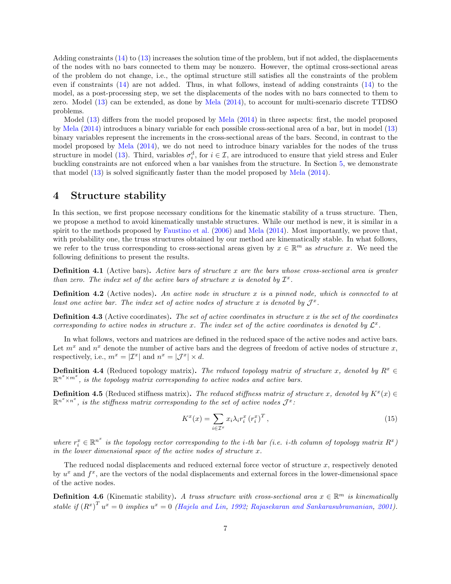Adding constraints [\(14\)](#page-5-3) to [\(13\)](#page-5-2) increases the solution time of the problem, but if not added, the displacements of the nodes with no bars connected to them may be nonzero. However, the optimal cross-sectional areas of the problem do not change, i.e., the optimal structure still satisfies all the constraints of the problem even if constraints [\(14\)](#page-5-3) are not added. Thus, in what follows, instead of adding constraints [\(14\)](#page-5-3) to the model, as a post-processing step, we set the displacements of the nodes with no bars connected to them to zero. Model [\(13\)](#page-5-2) can be extended, as done by [Mela](#page-17-13) [\(2014\)](#page-17-13), to account for multi-scenario discrete TTDSO problems.

Model [\(13\)](#page-5-2) differs from the model proposed by [Mela](#page-17-13) [\(2014\)](#page-17-13) in three aspects: first, the model proposed by [Mela](#page-17-13) [\(2014\)](#page-17-13) introduces a binary variable for each possible cross-sectional area of a bar, but in model [\(13\)](#page-5-2) binary variables represent the increments in the cross-sectional areas of the bars. Second, in contrast to the model proposed by [Mela](#page-17-13) [\(2014\)](#page-17-13), we do not need to introduce binary variables for the nodes of the truss structure in model [\(13\)](#page-5-2). Third, variables  $\sigma_i^d$ , for  $i \in \mathcal{I}$ , are introduced to ensure that yield stress and Euler buckling constraints are not enforced when a bar vanishes from the structure. In Section [5,](#page-10-0) we demonstrate that model [\(13\)](#page-5-2) is solved significantly faster than the model proposed by [Mela](#page-17-13) [\(2014\)](#page-17-13).

## <span id="page-6-0"></span>4 Structure stability

In this section, we first propose necessary conditions for the kinematic stability of a truss structure. Then, we propose a method to avoid kinematically unstable structures. While our method is new, it is similar in a spirit to the methods proposed by [Faustino et al.](#page-16-9) [\(2006\)](#page-16-9) and [Mela](#page-17-13) [\(2014\)](#page-17-13). Most importantly, we prove that, with probability one, the truss structures obtained by our method are kinematically stable. In what follows, we refer to the truss corresponding to cross-sectional areas given by  $x \in \mathbb{R}^m$  as *structure x*. We need the following definitions to present the results.

**Definition 4.1** (Active bars). Active bars of structure x are the bars whose cross-sectional area is greater than zero. The index set of the active bars of structure x is denoted by  $\mathcal{I}^x$ .

**Definition 4.2** (Active nodes). An active node in structure x is a pinned node, which is connected to at least one active bar. The index set of active nodes of structure x is denoted by  $\mathcal{J}^x$ .

**Definition 4.3** (Active coordinates). The set of active coordinates in structure x is the set of the coordinates corresponding to active nodes in structure x. The index set of the active coordinates is denoted by  $\mathcal{L}^x$ .

In what follows, vectors and matrices are defined in the reduced space of the active nodes and active bars. Let  $m^x$  and  $n^x$  denote the number of active bars and the degrees of freedom of active nodes of structure x, respectively, i.e.,  $m^x = |\mathcal{I}^x|$  and  $n^x = |\mathcal{J}^x| \times d$ .

**Definition 4.4** (Reduced topology matrix). The reduced topology matrix of structure x, denoted by  $R^x \in$  $\mathbb{R}^{n^x \times m^x}$ , is the topology matrix corresponding to active nodes and active bars.

**Definition 4.5** (Reduced stiffness matrix). The reduced stiffness matrix of structure x, denoted by  $K^x(x) \in$  $\mathbb{R}^{n^x \times n^x}$ , is the stiffness matrix corresponding to the set of active nodes  $\mathcal{J}^x$ :

$$
K^{x}(x) = \sum_{i \in \mathcal{I}^{x}} x_{i} \lambda_{i} r_{i}^{x} (r_{i}^{x})^{T}, \qquad (15)
$$

where  $r_i^x \in \mathbb{R}^{n^x}$  is the topology vector corresponding to the *i*-th bar (*i.e. i*-th column of topology matrix  $R^x$ ) in the lower dimensional space of the active nodes of structure  $x$ .

The reduced nodal displacements and reduced external force vector of structure  $x$ , respectively denoted by  $u^x$  and  $f^x$ , are the vectors of the nodal displacements and external forces in the lower-dimensional space of the active nodes.

<span id="page-6-1"></span>**Definition 4.6** (Kinematic stability). A truss structure with cross-sectional area  $x \in \mathbb{R}^m$  is kinematically stable if  $(R^x)^T u^x = 0$  implies  $u^x = 0$  [\(Hajela and Lin,](#page-16-11) [1992;](#page-16-11) [Rajasekaran and Sankarasubramanian,](#page-17-16) [2001\)](#page-17-16).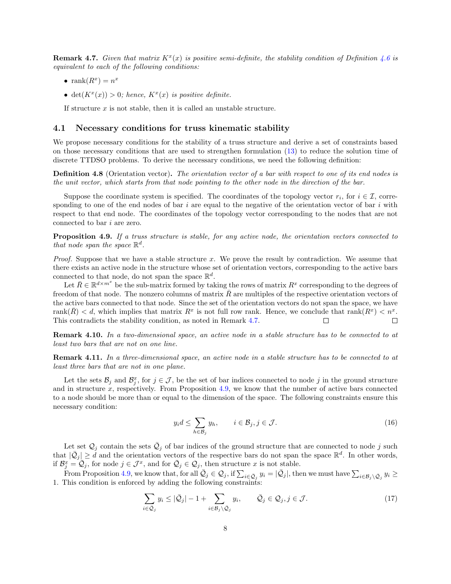<span id="page-7-0"></span>**Remark 4.7.** Given that matrix  $K^x(x)$  is positive semi-definite, the stability condition of Definition [4.6](#page-6-1) is equivalent to each of the following conditions:

- $\operatorname{rank}(R^x) = n^x$
- det $(K^x(x)) > 0$ ; hence,  $K^x(x)$  is positive definite.

If structure  $x$  is not stable, then it is called an unstable structure.

#### 4.1 Necessary conditions for truss kinematic stability

We propose necessary conditions for the stability of a truss structure and derive a set of constraints based on those necessary conditions that are used to strengthen formulation [\(13\)](#page-5-2) to reduce the solution time of discrete TTDSO problems. To derive the necessary conditions, we need the following definition:

Definition 4.8 (Orientation vector). The orientation vector of a bar with respect to one of its end nodes is the unit vector, which starts from that node pointing to the other node in the direction of the bar.

Suppose the coordinate system is specified. The coordinates of the topology vector  $r_i$ , for  $i \in \mathcal{I}$ , corresponding to one of the end nodes of bar  $i$  are equal to the negative of the orientation vector of bar  $i$  with respect to that end node. The coordinates of the topology vector corresponding to the nodes that are not connected to bar  $i$  are zero.

<span id="page-7-1"></span>**Proposition 4.9.** If a truss structure is stable, for any active node, the orientation vectors connected to that node span the space  $\mathbb{R}^d$ .

*Proof.* Suppose that we have a stable structure x. We prove the result by contradiction. We assume that there exists an active node in the structure whose set of orientation vectors, corresponding to the active bars connected to that node, do not span the space  $\mathbb{R}^d$ .

Let  $\bar{R} \in \mathbb{R}^{d \times m^x}$  be the sub-matrix formed by taking the rows of matrix  $R^x$  corresponding to the degrees of freedom of that node. The nonzero columns of matrix  $\bar{R}$  are multiples of the respective orientation vectors of the active bars connected to that node. Since the set of the orientation vectors do not span the space, we have rank $(\bar{R}) < d$ , which implies that matrix  $R^x$  is not full row rank. Hence, we conclude that  $rank(R^x) < n^x$ . This contradicts the stability condition, as noted in Remark [4.7.](#page-7-0) П □

Remark 4.10. In a two-dimensional space, an active node in a stable structure has to be connected to at least two bars that are not on one line.

Remark 4.11. In a three-dimensional space, an active node in a stable structure has to be connected to at least three bars that are not in one plane.

Let the sets  $\mathcal{B}_j$  and  $\mathcal{B}_j^x$ , for  $j \in \mathcal{J}$ , be the set of bar indices connected to node j in the ground structure and in structure  $x$ , respectively. From Proposition [4.9,](#page-7-1) we know that the number of active bars connected to a node should be more than or equal to the dimension of the space. The following constraints ensure this necessary condition:

<span id="page-7-3"></span><span id="page-7-2"></span>
$$
y_i d \le \sum_{h \in \mathcal{B}_j} y_h, \qquad i \in \mathcal{B}_j, j \in \mathcal{J}.
$$
 (16)

Let set  $\mathcal{Q}_j$  contain the sets  $\bar{\mathcal{Q}}_j$  of bar indices of the ground structure that are connected to node j such that  $|\bar{Q}_j| \geq d$  and the orientation vectors of the respective bars do not span the space  $\mathbb{R}^d$ . In other words, if  $\mathcal{B}_{j}^{x} = \mathcal{Q}_{j}$ , for node  $j \in \mathcal{J}^{x}$ , and for  $\mathcal{Q}_{j} \in \mathcal{Q}_{j}$ , then structure x is not stable.

From Proposition [4.9,](#page-7-1) we know that, for all  $\overline{Q}_j \in \mathcal{Q}_j$ , if  $\sum_{i \in \overline{Q}_j} y_i = |\overline{Q}_j|$ , then we must have  $\sum_{i \in \mathcal{B}_j \setminus \overline{Q}_j} y_i \ge$ 1. This condition is enforced by adding the following constraints:

$$
\sum_{i \in \bar{Q}_j} y_i \le |\bar{Q}_j| - 1 + \sum_{i \in \mathcal{B}_j \setminus \bar{Q}_j} y_i, \qquad \bar{Q}_j \in \mathcal{Q}_j, j \in \mathcal{J}.
$$
\n(17)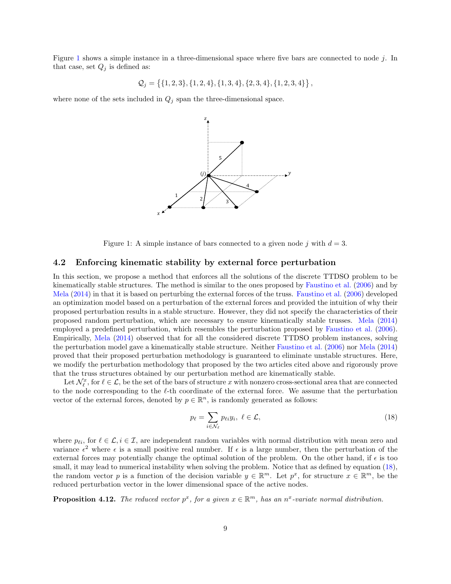Figure [1](#page-8-0) shows a simple instance in a three-dimensional space where five bars are connected to node  $j$ . In that case, set  $Q_i$  is defined as:

$$
Q_j = \{ \{1,2,3\}, \{1,2,4\}, \{1,3,4\}, \{2,3,4\}, \{1,2,3,4\} \},
$$

<span id="page-8-0"></span>where none of the sets included in  $Q_j$  span the three-dimensional space.



Figure 1: A simple instance of bars connected to a given node j with  $d = 3$ .

#### 4.2 Enforcing kinematic stability by external force perturbation

In this section, we propose a method that enforces all the solutions of the discrete TTDSO problem to be kinematically stable structures. The method is similar to the ones proposed by [Faustino et al.](#page-16-9) [\(2006\)](#page-16-9) and by [Mela](#page-17-13) [\(2014\)](#page-17-13) in that it is based on perturbing the external forces of the truss. [Faustino et al.](#page-16-9) [\(2006\)](#page-16-9) developed an optimization model based on a perturbation of the external forces and provided the intuition of why their proposed perturbation results in a stable structure. However, they did not specify the characteristics of their proposed random perturbation, which are necessary to ensure kinematically stable trusses. [Mela](#page-17-13) [\(2014\)](#page-17-13) employed a predefined perturbation, which resembles the perturbation proposed by [Faustino et al.](#page-16-9) [\(2006\)](#page-16-9). Empirically, [Mela](#page-17-13) [\(2014\)](#page-17-13) observed that for all the considered discrete TTDSO problem instances, solving the perturbation model gave a kinematically stable structure. Neither [Faustino et al.](#page-16-9) [\(2006\)](#page-16-9) nor [Mela](#page-17-13) [\(2014\)](#page-17-13) proved that their proposed perturbation methodology is guaranteed to eliminate unstable structures. Here, we modify the perturbation methodology that proposed by the two articles cited above and rigorously prove that the truss structures obtained by our perturbation method are kinematically stable.

Let  $\mathcal{N}_{\ell}^x$ , for  $\ell \in \mathcal{L}$ , be the set of the bars of structure x with nonzero cross-sectional area that are connected to the node corresponding to the  $\ell$ -th coordinate of the external force. We assume that the perturbation vector of the external forces, denoted by  $p \in \mathbb{R}^n$ , is randomly generated as follows:

<span id="page-8-1"></span>
$$
p_{\ell} = \sum_{i \in \mathcal{N}_{\ell}} p_{\ell i} y_i, \ \ell \in \mathcal{L},\tag{18}
$$

where  $p_{\ell i}$ , for  $\ell \in \mathcal{L}$ ,  $i \in \mathcal{I}$ , are independent random variables with normal distribution with mean zero and variance  $\epsilon^2$  where  $\epsilon$  is a small positive real number. If  $\epsilon$  is a large number, then the perturbation of the external forces may potentially change the optimal solution of the problem. On the other hand, if  $\epsilon$  is too small, it may lead to numerical instability when solving the problem. Notice that as defined by equation [\(18\)](#page-8-1), the random vector p is a function of the decision variable  $y \in \mathbb{R}^m$ . Let  $p^x$ , for structure  $x \in \mathbb{R}^m$ , be the reduced perturbation vector in the lower dimensional space of the active nodes.

<span id="page-8-2"></span>**Proposition 4.12.** The reduced vector  $p^x$ , for a given  $x \in \mathbb{R}^m$ , has an  $n^x$ -variate normal distribution.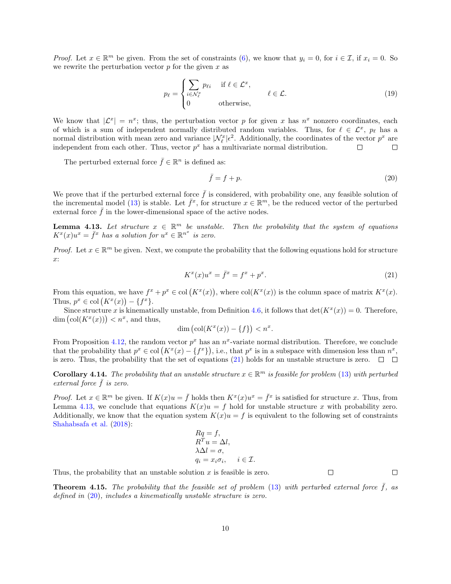*Proof.* Let  $x \in \mathbb{R}^m$  be given. From the set of constraints [\(6\)](#page-4-4), we know that  $y_i = 0$ , for  $i \in \mathcal{I}$ , if  $x_i = 0$ . So we rewrite the perturbation vector  $p$  for the given  $x$  as

$$
p_{\ell} = \begin{cases} \sum_{i \in \mathcal{N}_{\ell}^{x}} p_{\ell i} & \text{if } \ell \in \mathcal{L}^{x}, \\ 0 & \text{otherwise}, \end{cases} \qquad \ell \in \mathcal{L}.
$$
 (19)

We know that  $|\mathcal{L}^x| = n^x$ ; thus, the perturbation vector p for given x has  $n^x$  nonzero coordinates, each of which is a sum of independent normally distributed random variables. Thus, for  $\ell \in \mathcal{L}^x$ ,  $p_\ell$  has a normal distribution with mean zero and variance  $|\mathcal{N}_{\ell}^{x}| \epsilon^2$ . Additionally, the coordinates of the vector  $p^x$  are independent from each other. Thus, vector  $p^x$  has a multivariate normal distribution.  $\Box$  $\Box$ 

The perturbed external force  $\bar{f} \in \mathbb{R}^n$  is defined as:

<span id="page-9-2"></span><span id="page-9-0"></span>
$$
\bar{f} = f + p.\tag{20}
$$

We prove that if the perturbed external force  $\bar{f}$  is considered, with probability one, any feasible solution of the incremental model [\(13\)](#page-5-2) is stable. Let  $\bar{f}^x$ , for structure  $x \in \mathbb{R}^m$ , be the reduced vector of the perturbed external force  $f$  in the lower-dimensional space of the active nodes.

<span id="page-9-1"></span>**Lemma 4.13.** Let structure  $x \in \mathbb{R}^m$  be unstable. Then the probability that the system of equations  $K^x(x)u^x = \bar{f}^x$  has a solution for  $u^x \in \mathbb{R}^{n^x}$  is zero.

*Proof.* Let  $x \in \mathbb{R}^m$  be given. Next, we compute the probability that the following equations hold for structure x:

$$
K^x(x)u^x = \bar{f}^x = f^x + p^x.
$$
\n<sup>(21)</sup>

From this equation, we have  $f^x + p^x \in col(K^x(x))$ , where  $col(K^x(x))$  is the column space of matrix  $K^x(x)$ . Thus,  $p^x \in \text{col}(K^x(x)) - \{f^x\}.$ 

Since structure x is kinematically unstable, from Definition [4.6,](#page-6-1) it follows that  $\det(K^x(x)) = 0$ . Therefore, dim  $\left(\text{col}(K^x(x))\right) < n^x$ , and thus,

$$
\dim\left(\operatorname{col}(K^x(x)) - \{f\}\right) < n^x.
$$

From Proposition [4.12,](#page-8-2) the random vector  $p^x$  has an  $n^x$ -variate normal distribution. Therefore, we conclude that the probability that  $p^x \in col(K^x(x) - \{f^x\})$ , i.e., that  $p^x$  is in a subspace with dimension less than  $n^x$ , is zero. Thus, the probability that the set of equations [\(21\)](#page-9-0) holds for an unstable structure is zero.  $\Box$   $\Box$ 

**Corollary 4.14.** The probability that an unstable structure  $x \in \mathbb{R}^m$  is feasible for problem [\(13\)](#page-5-2) with perturbed external force  $\bar{f}$  is zero.

*Proof.* Let  $x \in \mathbb{R}^m$  be given. If  $K(x)u = \bar{f}$  holds then  $K^x(x)u^x = \bar{f}^x$  is satisfied for structure x. Thus, from Lemma [4.13,](#page-9-1) we conclude that equations  $K(x)u = f$  hold for unstable structure x with probability zero. Additionally, we know that the equation system  $K(x)u = f$  is equivalent to the following set of constraints [Shahabsafa et al.](#page-17-9) [\(2018\)](#page-17-9):

$$
Rq = f,R^T u = \Delta l,\lambda \Delta l = \sigma,q_i = x_i \sigma_i, \quad i \in \mathcal{I}.
$$

Thus, the probability that an unstable solution  $x$  is feasible is zero.  $\Box$ 

**Theorem 4.15.** The probability that the feasible set of problem [\(13\)](#page-5-2) with perturbed external force  $\bar{f}$ , as defined in [\(20\)](#page-9-2), includes a kinematically unstable structure is zero.

 $\Box$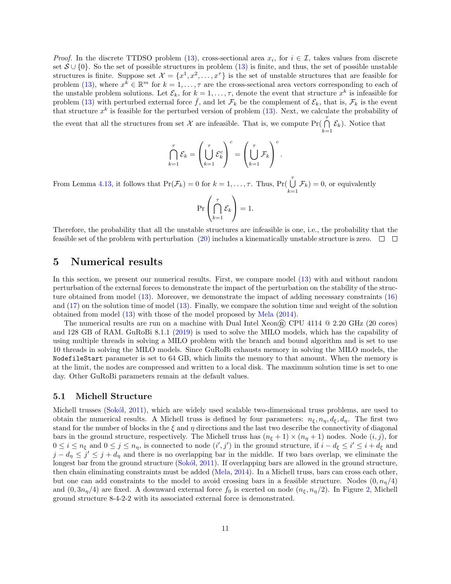*Proof.* In the discrete TTDSO problem [\(13\)](#page-5-2), cross-sectional area  $x_i$ , for  $i \in \mathcal{I}$ , takes values from discrete set  $S \cup \{0\}$ . So the set of possible structures in problem [\(13\)](#page-5-2) is finite, and thus, the set of possible unstable structures is finite. Suppose set  $\mathcal{X} = \{x^1, x^2, \ldots, x^{\tau}\}\$ is the set of unstable structures that are feasible for problem [\(13\)](#page-5-2), where  $x^k \in \mathbb{R}^m$  for  $k = 1, \ldots, \tau$  are the cross-sectional area vectors corresponding to each of the unstable problem solutions. Let  $\mathcal{E}_k$ , for  $k = 1, \ldots, \tau$ , denote the event that structure  $x^k$  is infeasible for problem [\(13\)](#page-5-2) with perturbed external force  $\bar{f}$ , and let  $\mathcal{F}_k$  be the complement of  $\mathcal{E}_k$ , that is,  $\mathcal{F}_k$  is the event that structure  $x^k$  is feasible for the perturbed version of problem [\(13\)](#page-5-2). Next, we calculate the probability of

the event that all the structures from set X are infeasible. That is, we compute  $Pr(\bigcap_{k=1}^{\tau} \mathcal{E}_k)$ . Notice that

$$
\bigcap_{k=1}^{\tau} \mathcal{E}_k = \left(\bigcup_{k=1}^{\tau} \mathcal{E}_k^c\right)^c = \left(\bigcup_{k=1}^{\tau} \mathcal{F}_k\right)^c.
$$

From Lemma [4.13,](#page-9-1) it follows that  $Pr(\mathcal{F}_k) = 0$  for  $k = 1, ..., \tau$ . Thus,  $Pr(\bigcup_{k=1}^{\tau} \mathcal{F}_k) = 0$ , or equivalently

$$
\Pr\left(\bigcap_{k=1}^{\tau} \mathcal{E}_k\right) = 1.
$$

Therefore, the probability that all the unstable structures are infeasible is one, i.e., the probability that the feasible set of the problem with perturbation [\(20\)](#page-9-2) includes a kinematically unstable structure is zero.  $\Box$   $\Box$ 

### <span id="page-10-0"></span>5 Numerical results

In this section, we present our numerical results. First, we compare model [\(13\)](#page-5-2) with and without random perturbation of the external forces to demonstrate the impact of the perturbation on the stability of the structure obtained from model [\(13\)](#page-5-2). Moreover, we demonstrate the impact of adding necessary constraints [\(16\)](#page-7-2) and [\(17\)](#page-7-3) on the solution time of model [\(13\)](#page-5-2). Finally, we compare the solution time and weight of the solution obtained from model [\(13\)](#page-5-2) with those of the model proposed by [Mela](#page-17-13) [\(2014\)](#page-17-13).

The numerical results are run on a machine with Dual Intel Xeon  $\mathbb{R}$  CPU 4114  $\mathbb{Q}$  2.20 GHz (20 cores) and 128 GB of RAM. GuRoBi 8.1.1 [\(2019\)](#page-16-12) is used to solve the MILO models, which has the capability of using multiple threads in solving a MILO problem with the branch and bound algorithm and is set to use 10 threads in solving the MILO models. Since GuRoBi exhausts memory in solving the MILO models, the NodefileStart parameter is set to 64 GB, which limits the memory to that amount. When the memory is at the limit, the nodes are compressed and written to a local disk. The maximum solution time is set to one day. Other GuRoBi parameters remain at the default values.

#### 5.1 Michell Structure

Michell trusses (Sokot, [2011\)](#page-17-17), which are widely used scalable two-dimensional truss problems, are used to obtain the numerical results. A Michell truss is defined by four parameters:  $n_{\xi}, n_{\eta}, d_{\xi}, d_{\eta}$ . The first two stand for the number of blocks in the  $\xi$  and  $\eta$  directions and the last two describe the connectivity of diagonal bars in the ground structure, respectively. The Michell truss has  $(n_{\xi} + 1) \times (n_{\eta} + 1)$  nodes. Node  $(i, j)$ , for  $0 \leq i \leq n_{\xi}$  and  $0 \leq j \leq n_{\eta}$ , is connected to node  $(i',j')$  in the ground structure, if  $i - d_{\xi} \leq i' \leq i + d_{\xi}$  and  $j - d_{\eta} \leq j' \leq j + d_{\eta}$  and there is no overlapping bar in the middle. If two bars overlap, we eliminate the longest bar from the ground structure (Sokó),  $2011$ ). If overlapping bars are allowed in the ground structure, then chain eliminating constraints must be added [\(Mela,](#page-17-13) [2014\)](#page-17-13). In a Michell truss, bars can cross each other, but one can add constraints to the model to avoid crossing bars in a feasible structure. Nodes  $(0, n<sub>\eta</sub>/4)$ and  $(0, 3n_{\eta}/4)$  are fixed. A downward external force  $f_0$  is exerted on node  $(n_{\xi}, n_{\eta}/2)$ . In Figure [2,](#page-11-0) Michell ground structure 8-4-2-2 with its associated external force is demonstrated.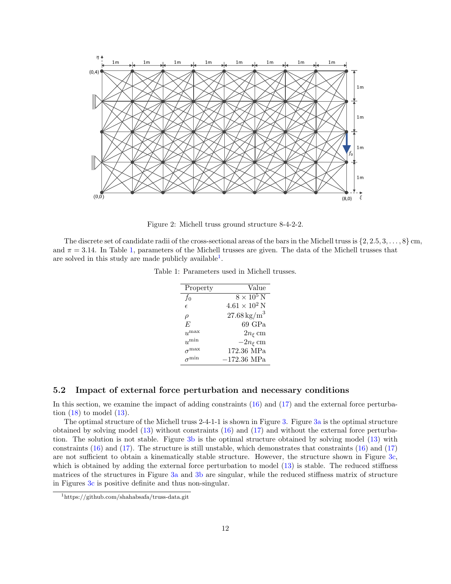<span id="page-11-0"></span>

Figure 2: Michell truss ground structure 8-4-2-2.

<span id="page-11-1"></span>The discrete set of candidate radii of the cross-sectional areas of the bars in the Michell truss is  $\{2, 2.5, 3, \ldots, 8\}$  cm, and  $\pi = 3.14$ . In Table [1,](#page-11-1) parameters of the Michell trusses are given. The data of the Michell trusses that are solved in this study are made publicly available<sup>[1](#page-11-2)</sup>.

Table 1: Parameters used in Michell trusses.

| Property   | Value                    |
|------------|--------------------------|
| $f_0$      | $8 \times 10^5$ N        |
| $\epsilon$ | $4.61 \times 10^2$ N     |
| $\rho$     | $27.68\,\mathrm{kg/m}^3$ |
| F,         | 69 GPa                   |
| $u^{\max}$ | $2n_{\xi}$ cm            |
| $u^{\min}$ | $-2n_{\xi}$ cm           |
| max        | 172.36 MPa               |
|            | $-172.36$ MPa            |

### 5.2 Impact of external force perturbation and necessary conditions

In this section, we examine the impact of adding constraints [\(16\)](#page-7-2) and [\(17\)](#page-7-3) and the external force perturbation  $(18)$  to model  $(13)$ .

The optimal structure of the Michell truss 2-4-1-1 is shown in Figure [3.](#page-12-0) Figure [3a](#page-12-0) is the optimal structure obtained by solving model [\(13\)](#page-5-2) without constraints [\(16\)](#page-7-2) and [\(17\)](#page-7-3) and without the external force perturbation. The solution is not stable. Figure [3b](#page-12-0) is the optimal structure obtained by solving model [\(13\)](#page-5-2) with constraints [\(16\)](#page-7-2) and [\(17\)](#page-7-3). The structure is still unstable, which demonstrates that constraints [\(16\)](#page-7-2) and [\(17\)](#page-7-3) are not sufficient to obtain a kinematically stable structure. However, the structure shown in Figure [3c,](#page-12-0) which is obtained by adding the external force perturbation to model  $(13)$  is stable. The reduced stiffness matrices of the structures in Figure [3a](#page-12-0) and [3b](#page-12-0) are singular, while the reduced stiffness matrix of structure in Figures [3c](#page-12-0) is positive definite and thus non-singular.

<span id="page-11-2"></span><sup>1</sup>https://github.com/shahabsafa/truss-data.git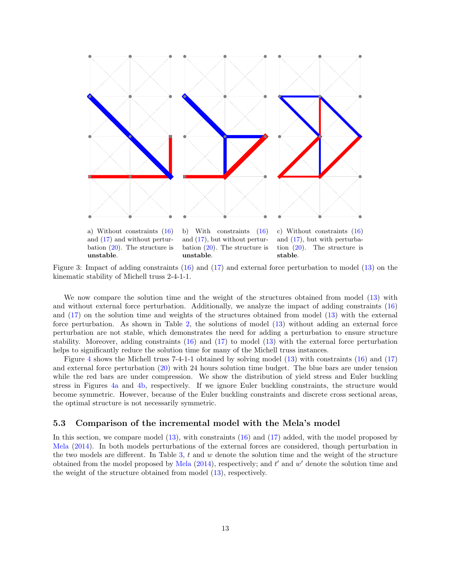<span id="page-12-0"></span>

Figure 3: Impact of adding constraints [\(16\)](#page-7-2) and [\(17\)](#page-7-3) and external force perturbation to model [\(13\)](#page-5-2) on the kinematic stability of Michell truss 2-4-1-1.

We now compare the solution time and the weight of the structures obtained from model [\(13\)](#page-5-2) with and without external force perturbation. Additionally, we analyze the impact of adding constraints [\(16\)](#page-7-2) and [\(17\)](#page-7-3) on the solution time and weights of the structures obtained from model [\(13\)](#page-5-2) with the external force perturbation. As shown in Table [2,](#page-13-0) the solutions of model [\(13\)](#page-5-2) without adding an external force perturbation are not stable, which demonstrates the need for adding a perturbation to ensure structure stability. Moreover, adding constraints [\(16\)](#page-7-2) and [\(17\)](#page-7-3) to model [\(13\)](#page-5-2) with the external force perturbation helps to significantly reduce the solution time for many of the Michell truss instances.

Figure [4](#page-14-0) shows the Michell truss 7-4-1-1 obtained by solving model [\(13\)](#page-5-2) with constraints [\(16\)](#page-7-2) and [\(17\)](#page-7-3) and external force perturbation [\(20\)](#page-9-2) with 24 hours solution time budget. The blue bars are under tension while the red bars are under compression. We show the distribution of yield stress and Euler buckling stress in Figures [4a](#page-14-0) and [4b,](#page-14-0) respectively. If we ignore Euler buckling constraints, the structure would become symmetric. However, because of the Euler buckling constraints and discrete cross sectional areas, the optimal structure is not necessarily symmetric.

#### 5.3 Comparison of the incremental model with the Mela's model

In this section, we compare model [\(13\)](#page-5-2), with constraints [\(16\)](#page-7-2) and [\(17\)](#page-7-3) added, with the model proposed by [Mela](#page-17-13) [\(2014\)](#page-17-13). In both models perturbations of the external forces are considered, though perturbation in the two models are different. In Table [3,](#page-13-1)  $t$  and  $w$  denote the solution time and the weight of the structure obtained from the model proposed by [Mela](#page-17-13)  $(2014)$ , respectively; and  $t'$  and  $w'$  denote the solution time and the weight of the structure obtained from model [\(13\)](#page-5-2), respectively.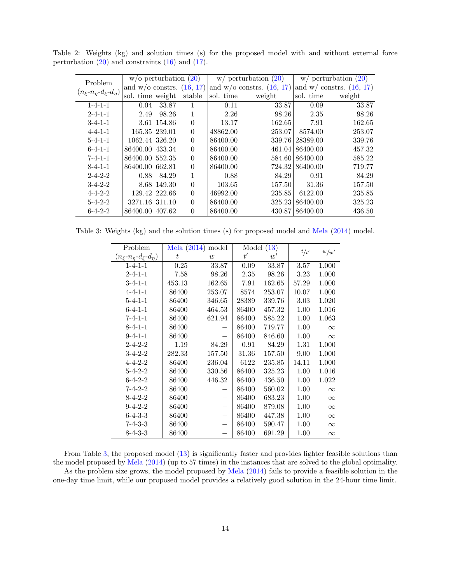| Problem                                     | $w$ /o perturbation $(20)$    |               |          |           | $w/$ perturbation $(20)$      | $w/$ perturbation $(20)$ |                              |  |
|---------------------------------------------|-------------------------------|---------------|----------|-----------|-------------------------------|--------------------------|------------------------------|--|
|                                             | and $w/o$ constrs. $(16, 17)$ |               |          |           | and $w/o$ constrs. $(16, 17)$ |                          | and $w/$ constrs. $(16, 17)$ |  |
| $(n_{\xi} - n_{\eta} - d_{\xi} - d_{\eta})$ | sol. time weight              |               | stable   | sol. time | weight                        | sol. time                | weight                       |  |
| $1 - 4 - 1 - 1$                             | 0.04                          | 33.87         |          | 0.11      | 33.87                         | 0.09                     | 33.87                        |  |
| $2 - 4 - 1 - 1$                             | 2.49                          | 98.26         | 1        | 2.26      | 98.26                         | 2.35                     | 98.26                        |  |
| $3 - 4 - 1 - 1$                             |                               | 3.61 154.86   | $\Omega$ | 13.17     | 162.65                        | 7.91                     | 162.65                       |  |
| $4 - 4 - 1 - 1$                             |                               | 165.35 239.01 | $\theta$ | 48862.00  | 253.07                        | 8574.00                  | 253.07                       |  |
| $5 - 4 - 1 - 1$                             | 1062.44 326.20                |               | $\theta$ | 86400.00  | 339.76                        | 28389.00                 | 339.76                       |  |
| $6 - 4 - 1 - 1$                             | 86400.00 433.34               |               | $\theta$ | 86400.00  | 461.04                        | 86400.00                 | 457.32                       |  |
| $7 - 4 - 1 - 1$                             | 86400.00 552.35               |               | $\theta$ | 86400.00  | 584.60                        | 86400.00                 | 585.22                       |  |
| $8 - 4 - 1 - 1$                             | 86400.00 662.81               |               | $\Omega$ | 86400.00  | 724.32                        | 86400.00                 | 719.77                       |  |
| $2 - 4 - 2 - 2$                             | 0.88                          | 84.29         | 1        | 0.88      | 84.29                         | 0.91                     | 84.29                        |  |
| $3-4-2-2$                                   |                               | 8.68 149.30   | $\theta$ | 103.65    | 157.50                        | 31.36                    | 157.50                       |  |
| $4 - 4 - 2 - 2$                             |                               | 129.42 222.66 | $\theta$ | 46992.00  | 235.85                        | 6122.00                  | 235.85                       |  |
| $5 - 4 - 2 - 2$                             | 3271.16 311.10                |               | $\theta$ | 86400.00  | 325.23                        | 86400.00                 | 325.23                       |  |
| $6 - 4 - 2 - 2$                             | 86400.00 407.62               |               | $\theta$ | 86400.00  | 430.87                        | 86400.00                 | 436.50                       |  |

<span id="page-13-0"></span>Table 2: Weights (kg) and solution times (s) for the proposed model with and without external force perturbation [\(20\)](#page-9-2) and constraints [\(16\)](#page-7-2) and [\(17\)](#page-7-3).

<span id="page-13-1"></span>Table 3: Weights (kg) and the solution times (s) for proposed model and [Mela](#page-17-13) [\(2014\)](#page-17-13) model.

| Problem                                     | Mela $(2014)$<br>model |        | Model $(13)$ |        |          |          |
|---------------------------------------------|------------------------|--------|--------------|--------|----------|----------|
| $(n_{\xi} - n_{\eta} - d_{\xi} - d_{\eta})$ | t                      | w      | t'           | w'     | t/t'     | w/w'     |
| $1 - 4 - 1 - 1$                             | 0.25                   | 33.87  | 0.09         | 33.87  | 3.57     | 1.000    |
| $2 - 4 - 1 - 1$                             | 7.58                   | 98.26  | 2.35         | 98.26  | 3.23     | 1.000    |
| $3 - 4 - 1 - 1$                             | 453.13                 | 162.65 | 7.91         | 162.65 | 57.29    | 1.000    |
| $4 - 4 - 1 - 1$                             | 86400                  | 253.07 | 8574         | 253.07 | 10.07    | 1.000    |
| $5 - 4 - 1 - 1$                             | 86400                  | 346.65 | 28389        | 339.76 | 3.03     | 1.020    |
| $6 - 4 - 1 - 1$                             | 86400                  | 464.53 | 86400        | 457.32 | 1.00     | 1.016    |
| $7 - 4 - 1 - 1$                             | 86400                  | 621.94 | 86400        | 585.22 | 1.00     | 1.063    |
| $8 - 4 - 1 - 1$                             | 86400                  |        | 86400        | 719.77 | $1.00\,$ | $\infty$ |
| $9 - 4 - 1 - 1$                             | 86400                  |        | 86400        | 846.60 | 1.00     | $\infty$ |
| $2 - 4 - 2 - 2$                             | 1.19                   | 84.29  | 0.91         | 84.29  | 1.31     | 1.000    |
| $3-4-2-2$                                   | 282.33                 | 157.50 | 31.36        | 157.50 | 9.00     | 1.000    |
| $4 - 4 - 2 - 2$                             | 86400                  | 236.04 | 6122         | 235.85 | 14.11    | 1.000    |
| $5 - 4 - 2 - 2$                             | 86400                  | 330.56 | 86400        | 325.23 | 1.00     | 1.016    |
| $6 - 4 - 2 - 2$                             | 86400                  | 446.32 | 86400        | 436.50 | 1.00     | 1.022    |
| $7 - 4 - 2 - 2$                             | 86400                  |        | 86400        | 560.02 | 1.00     | $\infty$ |
| $8 - 4 - 2 - 2$                             | 86400                  |        | 86400        | 683.23 | 1.00     | $\infty$ |
| $9 - 4 - 2 - 2$                             | 86400                  |        | 86400        | 879.08 | 1.00     | $\infty$ |
| $6 - 4 - 3 - 3$                             | 86400                  |        | 86400        | 447.38 | 1.00     | $\infty$ |
| $7 - 4 - 3 - 3$                             | 86400                  |        | 86400        | 590.47 | 1.00     | $\infty$ |
| $8-4-3-3$                                   | 86400                  |        | 86400        | 691.29 | 1.00     | $\infty$ |

From Table [3,](#page-13-1) the proposed model [\(13\)](#page-5-2) is significantly faster and provides lighter feasible solutions than the model proposed by [Mela](#page-17-13) [\(2014\)](#page-17-13) (up to 57 times) in the instances that are solved to the global optimality. As the problem size grows, the model proposed by [Mela](#page-17-13) [\(2014\)](#page-17-13) fails to provide a feasible solution in the one-day time limit, while our proposed model provides a relatively good solution in the 24-hour time limit.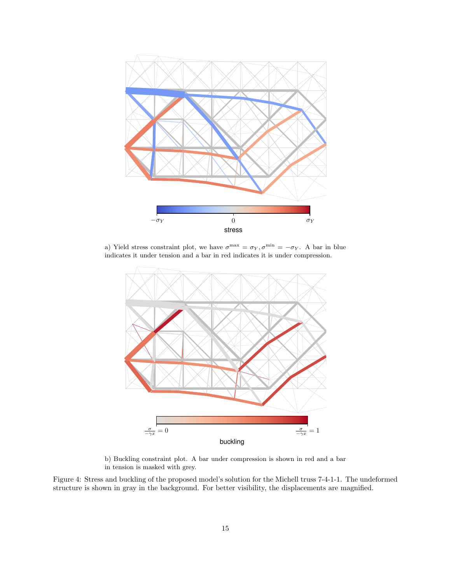<span id="page-14-0"></span>

a) Yield stress constraint plot, we have  $\sigma^{\max} = \sigma_Y, \sigma^{\min} = -\sigma_Y$ . A bar in blue indicates it under tension and a bar in red indicates it is under compression.



b) Buckling constraint plot. A bar under compression is shown in red and a bar in tension is masked with grey.

Figure 4: Stress and buckling of the proposed model's solution for the Michell truss 7-4-1-1. The undeformed structure is shown in gray in the background. For better visibility, the displacements are magnified.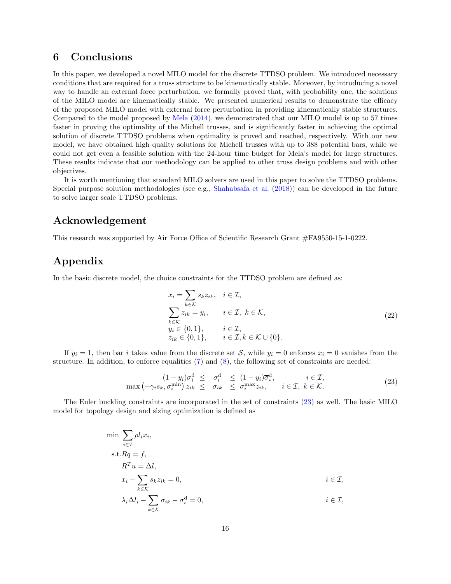## <span id="page-15-0"></span>6 Conclusions

In this paper, we developed a novel MILO model for the discrete TTDSO problem. We introduced necessary conditions that are required for a truss structure to be kinematically stable. Moreover, by introducing a novel way to handle an external force perturbation, we formally proved that, with probability one, the solutions of the MILO model are kinematically stable. We presented numerical results to demonstrate the efficacy of the proposed MILO model with external force perturbation in providing kinematically stable structures. Compared to the model proposed by [Mela](#page-17-13) [\(2014\)](#page-17-13), we demonstrated that our MILO model is up to 57 times faster in proving the optimality of the Michell trusses, and is significantly faster in achieving the optimal solution of discrete TTDSO problems when optimality is proved and reached, respectively. With our new model, we have obtained high quality solutions for Michell trusses with up to 388 potential bars, while we could not get even a feasible solution with the 24-hour time budget for Mela's model for large structures. These results indicate that our methodology can be applied to other truss design problems and with other objectives.

It is worth mentioning that standard MILO solvers are used in this paper to solve the TTDSO problems. Special purpose solution methodologies (see e.g., [Shahabsafa et al.](#page-17-9) [\(2018\)](#page-17-9)) can be developed in the future to solve larger scale TTDSO problems.

## Acknowledgement

This research was supported by Air Force Office of Scientific Research Grant #FA9550-15-1-0222.

## <span id="page-15-1"></span>Appendix

In the basic discrete model, the choice constraints for the TTDSO problem are defined as:

<span id="page-15-2"></span>
$$
x_i = \sum_{k \in \mathcal{K}} s_k z_{ik}, \quad i \in \mathcal{I},
$$
  
\n
$$
\sum_{k \in \mathcal{K}} z_{ik} = y_i, \quad i \in \mathcal{I}, \ k \in \mathcal{K},
$$
  
\n
$$
y_i \in \{0, 1\}, \quad i \in \mathcal{I},
$$
  
\n
$$
z_{ik} \in \{0, 1\}, \quad i \in \mathcal{I}, k \in \mathcal{K} \cup \{0\}.
$$
  
\n(22)

If  $y_i = 1$ , then bar i takes value from the discrete set S, while  $y_i = 0$  enforces  $x_i = 0$  vanishes from the structure. In addition, to enforce equalities  $(7)$  and  $(8)$ , the following set of constraints are needed:

$$
(1 - y_i) \underline{\sigma}_i^d \leq \sigma_i^d \leq (1 - y_i) \overline{\sigma}_i^d, \quad i \in \mathcal{I},
$$
  
\n
$$
\max(-\gamma_i s_k, \sigma_i^{\min}) z_{ik} \leq \sigma_{ik} \leq \sigma_i^{\max} z_{ik}, \quad i \in \mathcal{I}, k \in \mathcal{K}.
$$
\n(23)

The Euler buckling constraints are incorporated in the set of constraints [\(23\)](#page-15-2) as well. The basic MILO model for topology design and sizing optimization is defined as

$$
\min \sum_{i \in \mathcal{I}} \rho l_i x_i,
$$
\n
$$
\text{s.t.} Rq = f,
$$
\n
$$
R^T u = \Delta l,
$$
\n
$$
x_i - \sum_{k \in \mathcal{K}} s_k z_{ik} = 0,
$$
\n
$$
\lambda_i \Delta l_i - \sum_{k \in \mathcal{K}} \sigma_{ik} - \sigma_i^{\text{d}} = 0,
$$
\n
$$
i \in \mathcal{I},
$$
\n
$$
i \in \mathcal{I},
$$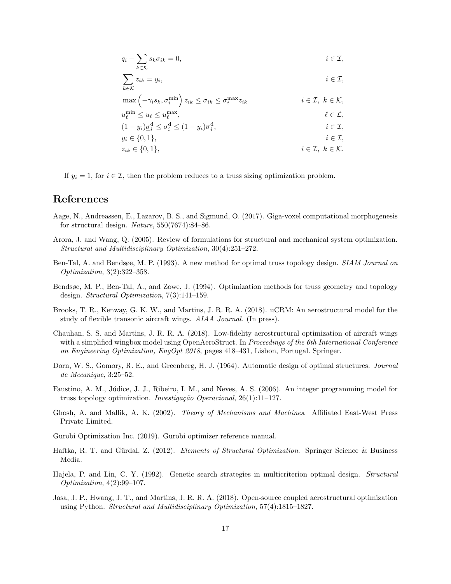$$
q_i - \sum_{k \in \mathcal{K}} s_k \sigma_{ik} = 0, \qquad i \in \mathcal{I},
$$

$$
\sum_{k \in \mathcal{K}} z_{ik} = y_i, \qquad i \in \mathcal{I},
$$

$$
\max\left(-\gamma_i s_k, \sigma_i^{\min}\right) z_{ik} \leq \sigma_{ik} \leq \sigma_i^{\max} z_{ik}
$$
\n
$$
i \in \mathcal{I}, \ k \in \mathcal{K},
$$
\n
$$
u_{\ell}^{\min} \leq u_{\ell} \leq u_{\ell}^{\max}, \qquad \qquad \ell \in \mathcal{L},
$$
\n
$$
(1 - y_i) \underline{\sigma}_i^d \leq \sigma_i^d \leq (1 - y_i) \overline{\sigma}_i^d, \qquad \qquad i \in \mathcal{I},
$$
\n
$$
y_i \in \{0, 1\}, \qquad \qquad i \in \mathcal{I},
$$

$$
z_{ik} \in \{0, 1\}, \qquad i \in \mathcal{I}, \ k \in \mathcal{K}.
$$

If  $y_i = 1$ , for  $i \in \mathcal{I}$ , then the problem reduces to a truss sizing optimization problem.

## References

- <span id="page-16-8"></span>Aage, N., Andreassen, E., Lazarov, B. S., and Sigmund, O. (2017). Giga-voxel computational morphogenesis for structural design. Nature, 550(7674):84–86.
- <span id="page-16-1"></span>Arora, J. and Wang, Q. (2005). Review of formulations for structural and mechanical system optimization. Structural and Multidisciplinary Optimization, 30(4):251–272.
- <span id="page-16-3"></span>Ben-Tal, A. and Bendsøe, M. P. (1993). A new method for optimal truss topology design. SIAM Journal on Optimization, 3(2):322–358.
- <span id="page-16-4"></span>Bendsøe, M. P., Ben-Tal, A., and Zowe, J. (1994). Optimization methods for truss geometry and topology design. Structural Optimization, 7(3):141–159.
- <span id="page-16-5"></span>Brooks, T. R., Kenway, G. K. W., and Martins, J. R. R. A. (2018). uCRM: An aerostructural model for the study of flexible transonic aircraft wings. AIAA Journal. (In press).
- <span id="page-16-7"></span>Chauhan, S. S. and Martins, J. R. R. A. (2018). Low-fidelity aerostructural optimization of aircraft wings with a simplified wingbox model using OpenAeroStruct. In Proceedings of the 6th International Conference on Engineering Optimization, EngOpt 2018, pages 418–431, Lisbon, Portugal. Springer.
- <span id="page-16-2"></span>Dorn, W. S., Gomory, R. E., and Greenberg, H. J. (1964). Automatic design of optimal structures. Journal de Mecanique, 3:25–52.
- <span id="page-16-9"></span>Faustino, A. M., Júdice, J. J., Ribeiro, I. M., and Neves, A. S. (2006). An integer programming model for truss topology optimization. *Investigação Operacional*,  $26(1):11-127$ .
- <span id="page-16-10"></span>Ghosh, A. and Mallik, A. K. (2002). Theory of Mechanisms and Machines. Affiliated East-West Press Private Limited.
- <span id="page-16-12"></span>Gurobi Optimization Inc. (2019). Gurobi optimizer reference manual.
- <span id="page-16-0"></span>Haftka, R. T. and Gürdal, Z. (2012). Elements of Structural Optimization. Springer Science & Business Media.
- <span id="page-16-11"></span>Hajela, P. and Lin, C. Y. (1992). Genetic search strategies in multicriterion optimal design. Structural Optimization, 4(2):99–107.
- <span id="page-16-6"></span>Jasa, J. P., Hwang, J. T., and Martins, J. R. R. A. (2018). Open-source coupled aerostructural optimization using Python. Structural and Multidisciplinary Optimization, 57(4):1815–1827.